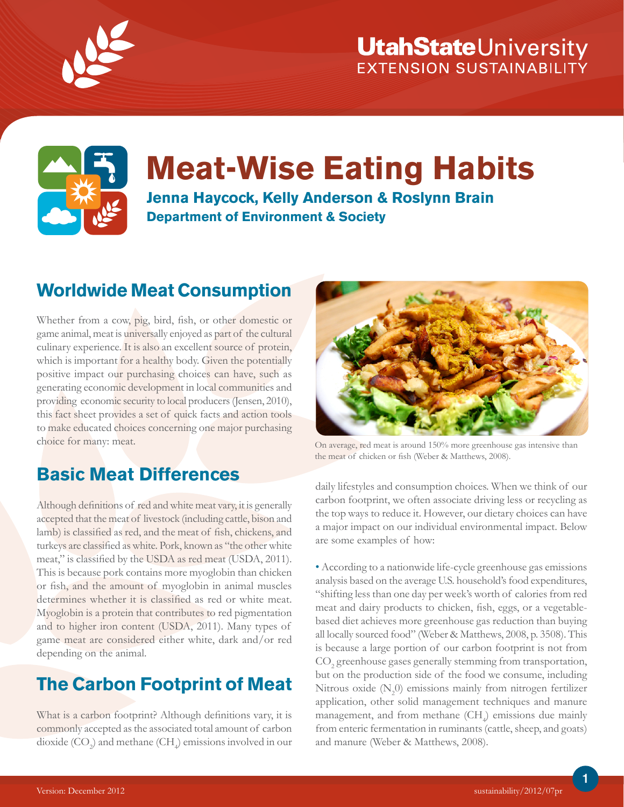

## **UtahState**University EXTENSION SUSTAINABILITY



# **Meat-Wise Eating Habits**

**Jenna Haycock, Kelly Anderson & Roslynn Brain Department of Environment & Society**

#### **Worldwide Meat Consumption**

Whether from a cow, pig, bird, fish, or other domestic or game animal, meat is universally enjoyed as part of the cultural culinary experience. It is also an excellent source of protein, which is important for a healthy body. Given the potentially positive impact our purchasing choices can have, such as generating economic development in local communities and providing economic security to local producers (Jensen, 2010), this fact sheet provides a set of quick facts and action tools to make educated choices concerning one major purchasing choice for many: meat.

## **Basic Meat Differences**

Although definitions of red and white meat vary, it is generally accepted that the meat of livestock (including cattle, bison and lamb) is classified as red, and the meat of fish, chickens, and turkeys are classified as white. Pork, known as "the other white meat," is classified by the USDA as red meat (USDA, 2011). This is because pork contains more myoglobin than chicken or fish, and the amount of myoglobin in animal muscles determines whether it is classified as red or white meat. Myoglobin is a protein that contributes to red pigmentation and to higher iron content (USDA, 2011). Many types of game meat are considered either white, dark and/or red depending on the animal.

## **The Carbon Footprint of Meat**

What is a carbon footprint? Although definitions vary, it is commonly accepted as the associated total amount of carbon dioxide  $({\rm CO}_2)$  and methane  $({\rm CH}_4)$  emissions involved in our



On average, red meat is around 150% more greenhouse gas intensive than the meat of chicken or fish (Weber & Matthews, 2008).

daily lifestyles and consumption choices. When we think of our carbon footprint, we often associate driving less or recycling as the top ways to reduce it. However, our dietary choices can have a major impact on our individual environmental impact. Below are some examples of how:

• According to a nationwide life-cycle greenhouse gas emissions analysis based on the average U.S. household's food expenditures, "shifting less than one day per week's worth of calories from red meat and dairy products to chicken, fish, eggs, or a vegetablebased diet achieves more greenhouse gas reduction than buying all locally sourced food" (Weber & Matthews, 2008, p. 3508). This is because a large portion of our carbon footprint is not from  $\mathrm{CO}_2$  greenhouse gases generally stemming from transportation, but on the production side of the food we consume, including Nitrous oxide  $(N_2 0)$  emissions mainly from nitrogen fertilizer application, other solid management techniques and manure management, and from methane  $(\mathrm{CH}_4)$  emissions due mainly from enteric fermentation in ruminants (cattle, sheep, and goats) and manure (Weber & Matthews, 2008).

1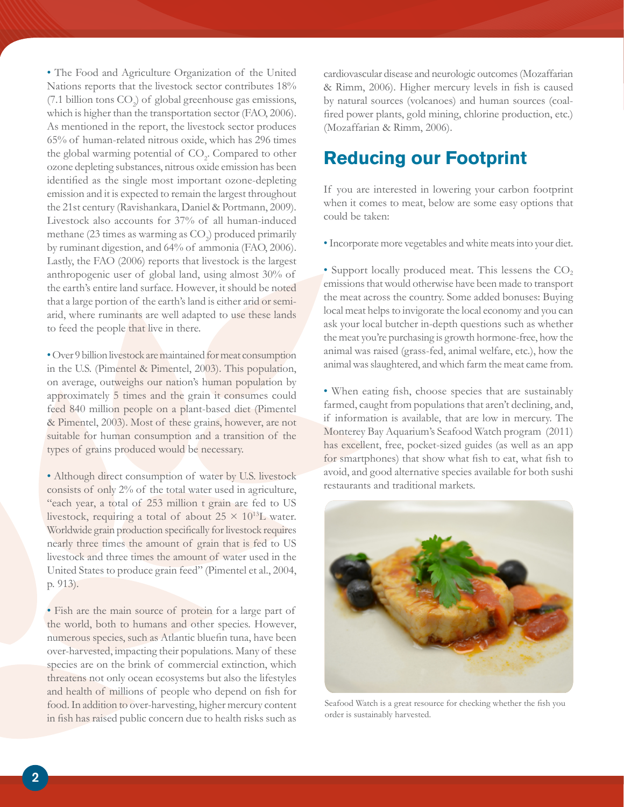• The Food and Agriculture Organization of the United Nations reports that the livestock sector contributes 18% (7.1 billion tons  $CO<sub>2</sub>$ ) of global greenhouse gas emissions, which is higher than the transportation sector (FAO, 2006). As mentioned in the report, the livestock sector produces 65% of human-related nitrous oxide, which has 296 times the global warming potential of  $\mathrm{CO}_2$ . Compared to other ozone depleting substances, nitrous oxide emission has been identified as the single most important ozone-depleting emission and it is expected to remain the largest throughout the 21st century (Ravishankara, Daniel & Portmann, 2009). Livestock also accounts for 37% of all human-induced methane (23 times as warming as  $\mathrm{CO}_2$ ) produced primarily by ruminant digestion, and 64% of ammonia (FAO, 2006). Lastly, the FAO (2006) reports that livestock is the largest anthropogenic user of global land, using almost 30% of the earth's entire land surface. However, it should be noted that a large portion of the earth's land is either arid or semiarid, where ruminants are well adapted to use these lands to feed the people that live in there.

• Over 9 billion livestock are maintained for meat consumption in the U.S. (Pimentel & Pimentel, 2003). This population, on average, outweighs our nation's human population by approximately 5 times and the grain it consumes could feed 840 million people on a plant-based diet (Pimentel & Pimentel, 2003). Most of these grains, however, are not suitable for human consumption and a transition of the types of grains produced would be necessary.

• Although direct consumption of water by U.S. livestock consists of only 2% of the total water used in agriculture, "each year, a total of 253 million t grain are fed to US livestock, requiring a total of about  $25 \times 10^{13}$ L water. Worldwide grain production specifically for livestock requires nearly three times the amount of grain that is fed to US livestock and three times the amount of water used in the United States to produce grain feed" (Pimentel et al., 2004, p. 913).

• Fish are the main source of protein for a large part of the world, both to humans and other species. However, numerous species, such as Atlantic bluefin tuna, have been over-harvested, impacting their populations. Many of these species are on the brink of commercial extinction, which threatens not only ocean ecosystems but also the lifestyles and health of millions of people who depend on fish for food. In addition to over-harvesting, higher mercury content in fish has raised public concern due to health risks such as

cardiovascular disease and neurologic outcomes (Mozaffarian & Rimm, 2006). Higher mercury levels in fish is caused by natural sources (volcanoes) and human sources (coalfired power plants, gold mining, chlorine production, etc.) (Mozaffarian & Rimm, 2006).

#### **Reducing our Footprint**

If you are interested in lowering your carbon footprint when it comes to meat, below are some easy options that could be taken:

• Incorporate more vegetables and white meats into your diet.

• Support locally produced meat. This lessens the  $CO<sub>2</sub>$ emissions that would otherwise have been made to transport the meat across the country. Some added bonuses: Buying local meat helps to invigorate the local economy and you can ask your local butcher in-depth questions such as whether the meat you're purchasing is growth hormone-free, how the animal was raised (grass-fed, animal welfare, etc.), how the animal was slaughtered, and which farm the meat came from.

• When eating fish, choose species that are sustainably farmed, caught from populations that aren't declining, and, if information is available, that are low in mercury. The Monterey Bay Aquarium's Seafood Watch program (2011) has excellent, free, pocket-sized guides (as well as an app for smartphones) that show what fish to eat, what fish to avoid, and good alternative species available for both sushi restaurants and traditional markets.



Seafood Watch is a great resource for checking whether the fish you order is sustainably harvested.